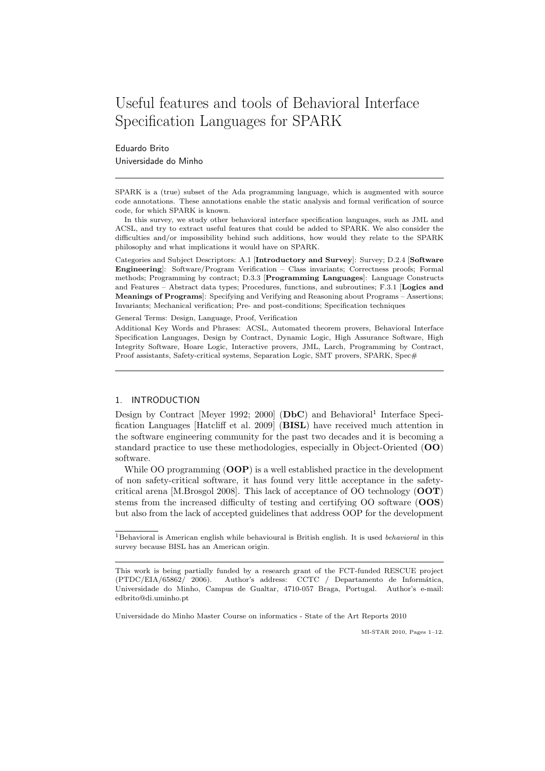# Useful features and tools of Behavioral Interface Specification Languages for SPARK

Eduardo Brito Universidade do Minho

SPARK is a (true) subset of the Ada programming language, which is augmented with source code annotations. These annotations enable the static analysis and formal verification of source code, for which SPARK is known.

In this survey, we study other behavioral interface specification languages, such as JML and ACSL, and try to extract useful features that could be added to SPARK. We also consider the difficulties and/or impossibility behind such additions, how would they relate to the SPARK philosophy and what implications it would have on SPARK.

Categories and Subject Descriptors: A.1 [Introductory and Survey]: Survey; D.2.4 [Software Engineering]: Software/Program Verification – Class invariants; Correctness proofs; Formal methods; Programming by contract; D.3.3 [Programming Languages]: Language Constructs and Features – Abstract data types; Procedures, functions, and subroutines; F.3.1 [Logics and Meanings of Programs]: Specifying and Verifying and Reasoning about Programs – Assertions; Invariants; Mechanical verification; Pre- and post-conditions; Specification techniques

General Terms: Design, Language, Proof, Verification

Additional Key Words and Phrases: ACSL, Automated theorem provers, Behavioral Interface Specification Languages, Design by Contract, Dynamic Logic, High Assurance Software, High Integrity Software, Hoare Logic, Interactive provers, JML, Larch, Programming by Contract, Proof assistants, Safety-critical systems, Separation Logic, SMT provers, SPARK, Spec#

# 1. INTRODUCTION

Design by Contract [Meyer 1992; 2000] (DbC) and Behavioral<sup>1</sup> Interface Specification Languages [Hatcliff et al. 2009] (BISL) have received much attention in the software engineering community for the past two decades and it is becoming a standard practice to use these methodologies, especially in Object-Oriented (OO) software.

While OO programming  $(OOP)$  is a well established practice in the development of non safety-critical software, it has found very little acceptance in the safetycritical arena [M.Brosgol 2008]. This lack of acceptance of OO technology (OOT) stems from the increased difficulty of testing and certifying OO software (OOS) but also from the lack of accepted guidelines that address OOP for the development

Universidade do Minho Master Course on informatics - State of the Art Reports 2010

MI-STAR 2010, Pages 1–12.

<sup>&</sup>lt;sup>1</sup>Behavioral is American english while behavioural is British english. It is used *behavioral* in this survey because BISL has an American origin.

This work is being partially funded by a research grant of the FCT-funded RESCUE project (PTDC/EIA/65862/ 2006). Author's address: CCTC / Departamento de Informática, Universidade do Minho, Campus de Gualtar, 4710-057 Braga, Portugal. Author's e-mail: edbrito@di.uminho.pt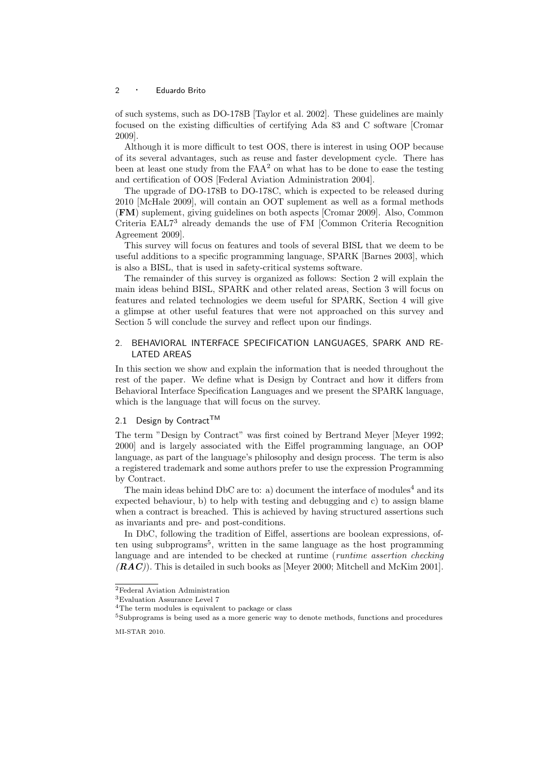of such systems, such as DO-178B [Taylor et al. 2002]. These guidelines are mainly focused on the existing difficulties of certifying Ada 83 and C software [Cromar 2009].

Although it is more difficult to test OOS, there is interest in using OOP because of its several advantages, such as reuse and faster development cycle. There has been at least one study from the  $FAA<sup>2</sup>$  on what has to be done to ease the testing and certification of OOS [Federal Aviation Administration 2004].

The upgrade of DO-178B to DO-178C, which is expected to be released during 2010 [McHale 2009], will contain an OOT suplement as well as a formal methods (FM) suplement, giving guidelines on both aspects [Cromar 2009]. Also, Common Criteria EAL7<sup>3</sup> already demands the use of FM [Common Criteria Recognition Agreement 2009].

This survey will focus on features and tools of several BISL that we deem to be useful additions to a specific programming language, SPARK [Barnes 2003], which is also a BISL, that is used in safety-critical systems software.

The remainder of this survey is organized as follows: Section 2 will explain the main ideas behind BISL, SPARK and other related areas, Section 3 will focus on features and related technologies we deem useful for SPARK, Section 4 will give a glimpse at other useful features that were not approached on this survey and Section 5 will conclude the survey and reflect upon our findings.

# 2. BEHAVIORAL INTERFACE SPECIFICATION LANGUAGES, SPARK AND RE-LATED AREAS

In this section we show and explain the information that is needed throughout the rest of the paper. We define what is Design by Contract and how it differs from Behavioral Interface Specification Languages and we present the SPARK language, which is the language that will focus on the survey.

# 2.1 Design by Contract<sup>TM</sup>

The term "Design by Contract" was first coined by Bertrand Meyer [Meyer 1992; 2000] and is largely associated with the Eiffel programming language, an OOP language, as part of the language's philosophy and design process. The term is also a registered trademark and some authors prefer to use the expression Programming by Contract.

The main ideas behind DbC are to: a) document the interface of modules<sup>4</sup> and its expected behaviour, b) to help with testing and debugging and c) to assign blame when a contract is breached. This is achieved by having structured assertions such as invariants and pre- and post-conditions.

In DbC, following the tradition of Eiffel, assertions are boolean expressions, often using subprograms<sup>5</sup>, written in the same language as the host programming language and are intended to be checked at runtime (runtime assertion checking  $(RAC)$ ). This is detailed in such books as [Meyer 2000; Mitchell and McKim 2001].

 $^2\mbox{Federal}$  Aviation Administration

<sup>3</sup>Evaluation Assurance Level 7

<sup>4</sup>The term modules is equivalent to package or class

<sup>5</sup>Subprograms is being used as a more generic way to denote methods, functions and procedures MI-STAR 2010.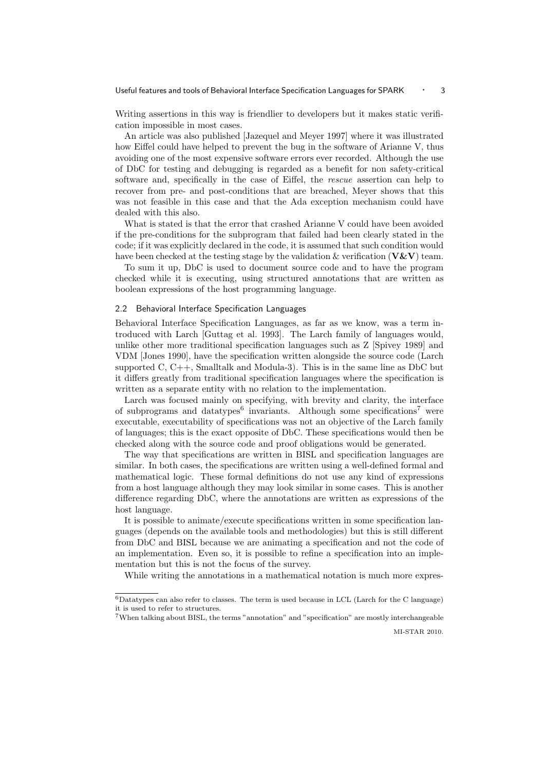Writing assertions in this way is friendlier to developers but it makes static verification impossible in most cases.

An article was also published [Jazequel and Meyer 1997] where it was illustrated how Eiffel could have helped to prevent the bug in the software of Arianne V, thus avoiding one of the most expensive software errors ever recorded. Although the use of DbC for testing and debugging is regarded as a benefit for non safety-critical software and, specifically in the case of Eiffel, the rescue assertion can help to recover from pre- and post-conditions that are breached, Meyer shows that this was not feasible in this case and that the Ada exception mechanism could have dealed with this also.

What is stated is that the error that crashed Arianne V could have been avoided if the pre-conditions for the subprogram that failed had been clearly stated in the code; if it was explicitly declared in the code, it is assumed that such condition would have been checked at the testing stage by the validation  $\&$  verification ( $V\&V$ ) team.

To sum it up, DbC is used to document source code and to have the program checked while it is executing, using structured annotations that are written as boolean expressions of the host programming language.

# 2.2 Behavioral Interface Specification Languages

Behavioral Interface Specification Languages, as far as we know, was a term introduced with Larch [Guttag et al. 1993]. The Larch family of languages would, unlike other more traditional specification languages such as Z [Spivey 1989] and VDM [Jones 1990], have the specification written alongside the source code (Larch supported C,  $C_{++}$ , Smalltalk and Modula-3). This is in the same line as DbC but it differs greatly from traditional specification languages where the specification is written as a separate entity with no relation to the implementation.

Larch was focused mainly on specifying, with brevity and clarity, the interface of subprograms and datatypes<sup>6</sup> invariants. Although some specifications<sup>7</sup> were executable, executability of specifications was not an objective of the Larch family of languages; this is the exact opposite of DbC. These specifications would then be checked along with the source code and proof obligations would be generated.

The way that specifications are written in BISL and specification languages are similar. In both cases, the specifications are written using a well-defined formal and mathematical logic. These formal definitions do not use any kind of expressions from a host language although they may look similar in some cases. This is another difference regarding DbC, where the annotations are written as expressions of the host language.

It is possible to animate/execute specifications written in some specification languages (depends on the available tools and methodologies) but this is still different from DbC and BISL because we are animating a specification and not the code of an implementation. Even so, it is possible to refine a specification into an implementation but this is not the focus of the survey.

While writing the annotations in a mathematical notation is much more expres-

 $6$ Datatypes can also refer to classes. The term is used because in LCL (Larch for the C language) it is used to refer to structures.

<sup>7</sup>When talking about BISL, the terms "annotation" and "specification" are mostly interchangeable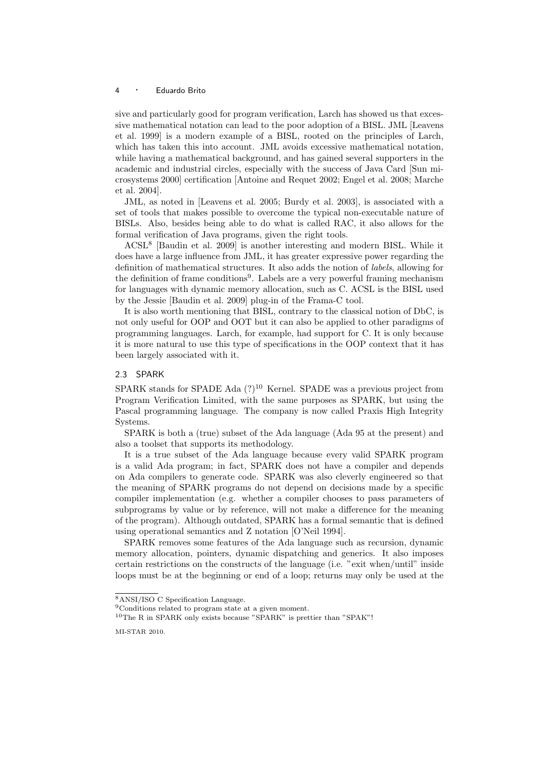sive and particularly good for program verification, Larch has showed us that excessive mathematical notation can lead to the poor adoption of a BISL. JML [Leavens et al. 1999] is a modern example of a BISL, rooted on the principles of Larch, which has taken this into account. JML avoids excessive mathematical notation, while having a mathematical background, and has gained several supporters in the academic and industrial circles, especially with the success of Java Card [Sun microsystems 2000] certification [Antoine and Requet 2002; Engel et al. 2008; Marche et al. 2004].

JML, as noted in [Leavens et al. 2005; Burdy et al. 2003], is associated with a set of tools that makes possible to overcome the typical non-executable nature of BISLs. Also, besides being able to do what is called RAC, it also allows for the formal verification of Java programs, given the right tools.

ACSL<sup>8</sup> [Baudin et al. 2009] is another interesting and modern BISL. While it does have a large influence from JML, it has greater expressive power regarding the definition of mathematical structures. It also adds the notion of labels, allowing for the definition of frame conditions<sup>9</sup>. Labels are a very powerful framing mechanism for languages with dynamic memory allocation, such as C. ACSL is the BISL used by the Jessie [Baudin et al. 2009] plug-in of the Frama-C tool.

It is also worth mentioning that BISL, contrary to the classical notion of DbC, is not only useful for OOP and OOT but it can also be applied to other paradigms of programming languages. Larch, for example, had support for C. It is only because it is more natural to use this type of specifications in the OOP context that it has been largely associated with it.

## 2.3 SPARK

SPARK stands for SPADE Ada  $(?)^{10}$  Kernel. SPADE was a previous project from Program Verification Limited, with the same purposes as SPARK, but using the Pascal programming language. The company is now called Praxis High Integrity Systems.

SPARK is both a (true) subset of the Ada language (Ada 95 at the present) and also a toolset that supports its methodology.

It is a true subset of the Ada language because every valid SPARK program is a valid Ada program; in fact, SPARK does not have a compiler and depends on Ada compilers to generate code. SPARK was also cleverly engineered so that the meaning of SPARK programs do not depend on decisions made by a specific compiler implementation (e.g. whether a compiler chooses to pass parameters of subprograms by value or by reference, will not make a difference for the meaning of the program). Although outdated, SPARK has a formal semantic that is defined using operational semantics and Z notation [O'Neil 1994].

SPARK removes some features of the Ada language such as recursion, dynamic memory allocation, pointers, dynamic dispatching and generics. It also imposes certain restrictions on the constructs of the language (i.e. "exit when/until" inside loops must be at the beginning or end of a loop; returns may only be used at the

<sup>8</sup>ANSI/ISO C Specification Language.

<sup>9</sup>Conditions related to program state at a given moment.

 $10$ The R in SPARK only exists because "SPARK" is prettier than "SPAK"!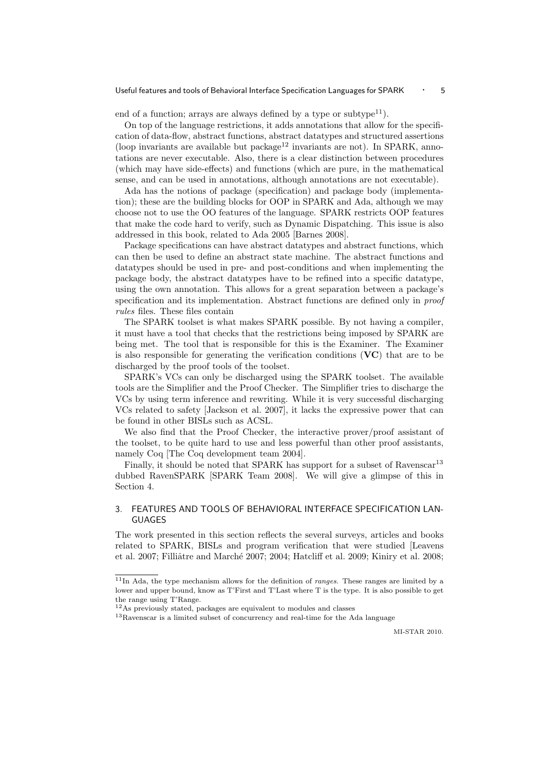end of a function; arrays are always defined by a type or subtype $^{11}$ ).

On top of the language restrictions, it adds annotations that allow for the specification of data-flow, abstract functions, abstract datatypes and structured assertions (loop invariants are available but package<sup>12</sup> invariants are not). In SPARK, annotations are never executable. Also, there is a clear distinction between procedures (which may have side-effects) and functions (which are pure, in the mathematical sense, and can be used in annotations, although annotations are not executable).

Ada has the notions of package (specification) and package body (implementation); these are the building blocks for OOP in SPARK and Ada, although we may choose not to use the OO features of the language. SPARK restricts OOP features that make the code hard to verify, such as Dynamic Dispatching. This issue is also addressed in this book, related to Ada 2005 [Barnes 2008].

Package specifications can have abstract datatypes and abstract functions, which can then be used to define an abstract state machine. The abstract functions and datatypes should be used in pre- and post-conditions and when implementing the package body, the abstract datatypes have to be refined into a specific datatype, using the own annotation. This allows for a great separation between a package's specification and its implementation. Abstract functions are defined only in *proof* rules files. These files contain

The SPARK toolset is what makes SPARK possible. By not having a compiler, it must have a tool that checks that the restrictions being imposed by SPARK are being met. The tool that is responsible for this is the Examiner. The Examiner is also responsible for generating the verification conditions (VC) that are to be discharged by the proof tools of the toolset.

SPARK's VCs can only be discharged using the SPARK toolset. The available tools are the Simplifier and the Proof Checker. The Simplifier tries to discharge the VCs by using term inference and rewriting. While it is very successful discharging VCs related to safety [Jackson et al. 2007], it lacks the expressive power that can be found in other BISLs such as ACSL.

We also find that the Proof Checker, the interactive prover/proof assistant of the toolset, to be quite hard to use and less powerful than other proof assistants, namely Coq [The Coq development team 2004].

Finally, it should be noted that SPARK has support for a subset of Ravenscar<sup>13</sup> dubbed RavenSPARK [SPARK Team 2008]. We will give a glimpse of this in Section 4.

# 3. FEATURES AND TOOLS OF BEHAVIORAL INTERFACE SPECIFICATION LAN-GUAGES

The work presented in this section reflects the several surveys, articles and books related to SPARK, BISLs and program verification that were studied [Leavens et al. 2007; Filliâtre and Marché 2007; 2004; Hatcliff et al. 2009; Kiniry et al. 2008;

 $11$ In Ada, the type mechanism allows for the definition of *ranges*. These ranges are limited by a lower and upper bound, know as T'First and T'Last where T is the type. It is also possible to get the range using T'Range.

<sup>12</sup>As previously stated, packages are equivalent to modules and classes

<sup>13</sup>Ravenscar is a limited subset of concurrency and real-time for the Ada language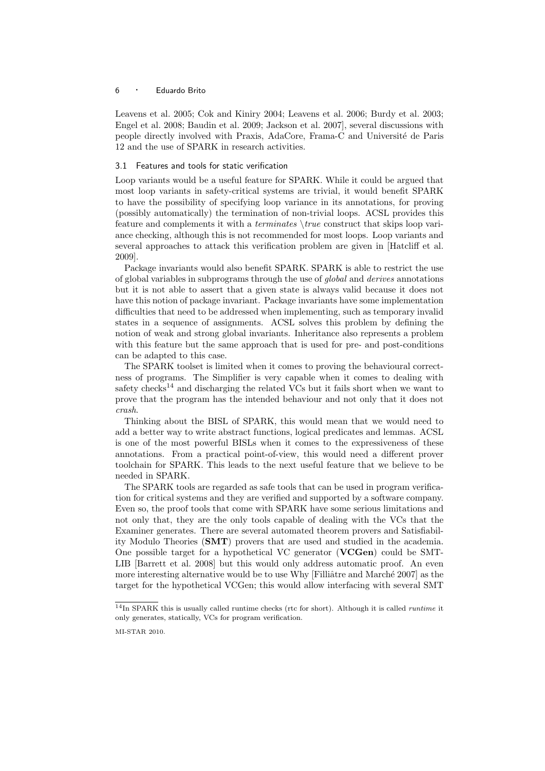Leavens et al. 2005; Cok and Kiniry 2004; Leavens et al. 2006; Burdy et al. 2003; Engel et al. 2008; Baudin et al. 2009; Jackson et al. 2007], several discussions with people directly involved with Praxis, AdaCore, Frama-C and Universit´e de Paris 12 and the use of SPARK in research activities.

#### 3.1 Features and tools for static verification

Loop variants would be a useful feature for SPARK. While it could be argued that most loop variants in safety-critical systems are trivial, it would benefit SPARK to have the possibility of specifying loop variance in its annotations, for proving (possibly automatically) the termination of non-trivial loops. ACSL provides this feature and complements it with a *terminates*  $\true$ true construct that skips loop variance checking, although this is not recommended for most loops. Loop variants and several approaches to attack this verification problem are given in [Hatcliff et al. 2009].

Package invariants would also benefit SPARK. SPARK is able to restrict the use of global variables in subprograms through the use of global and derives annotations but it is not able to assert that a given state is always valid because it does not have this notion of package invariant. Package invariants have some implementation difficulties that need to be addressed when implementing, such as temporary invalid states in a sequence of assignments. ACSL solves this problem by defining the notion of weak and strong global invariants. Inheritance also represents a problem with this feature but the same approach that is used for pre- and post-conditions can be adapted to this case.

The SPARK toolset is limited when it comes to proving the behavioural correctness of programs. The Simplifier is very capable when it comes to dealing with safety checks<sup>14</sup> and discharging the related VCs but it fails short when we want to prove that the program has the intended behaviour and not only that it does not crash.

Thinking about the BISL of SPARK, this would mean that we would need to add a better way to write abstract functions, logical predicates and lemmas. ACSL is one of the most powerful BISLs when it comes to the expressiveness of these annotations. From a practical point-of-view, this would need a different prover toolchain for SPARK. This leads to the next useful feature that we believe to be needed in SPARK.

The SPARK tools are regarded as safe tools that can be used in program verification for critical systems and they are verified and supported by a software company. Even so, the proof tools that come with SPARK have some serious limitations and not only that, they are the only tools capable of dealing with the VCs that the Examiner generates. There are several automated theorem provers and Satisfiability Modulo Theories (SMT) provers that are used and studied in the academia. One possible target for a hypothetical VC generator (VCGen) could be SMT-LIB [Barrett et al. 2008] but this would only address automatic proof. An even more interesting alternative would be to use Why  $[Filli\hat{a}$ tre and Marché 2007] as the target for the hypothetical VCGen; this would allow interfacing with several SMT

 $14$ In SPARK this is usually called runtime checks (rtc for short). Although it is called *runtime* it only generates, statically, VCs for program verification.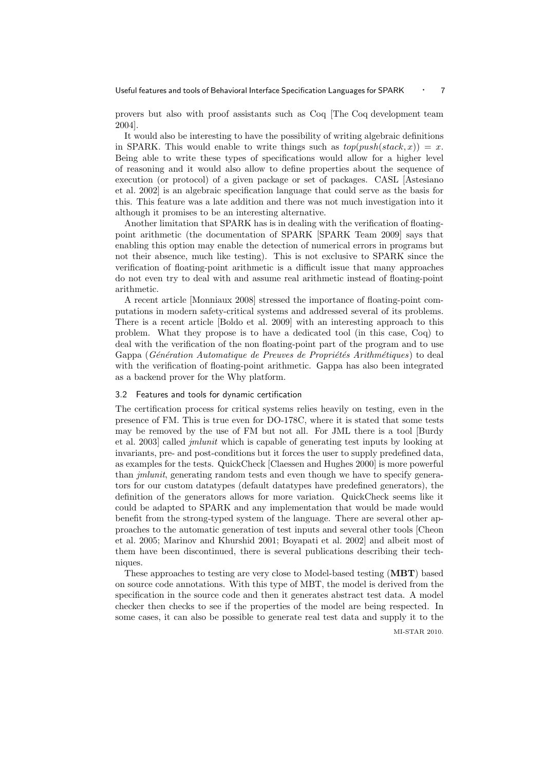provers but also with proof assistants such as Coq [The Coq development team 2004].

It would also be interesting to have the possibility of writing algebraic definitions in SPARK. This would enable to write things such as  $top(push(state, x)) = x$ . Being able to write these types of specifications would allow for a higher level of reasoning and it would also allow to define properties about the sequence of execution (or protocol) of a given package or set of packages. CASL [Astesiano et al. 2002] is an algebraic specification language that could serve as the basis for this. This feature was a late addition and there was not much investigation into it although it promises to be an interesting alternative.

Another limitation that SPARK has is in dealing with the verification of floatingpoint arithmetic (the documentation of SPARK [SPARK Team 2009] says that enabling this option may enable the detection of numerical errors in programs but not their absence, much like testing). This is not exclusive to SPARK since the verification of floating-point arithmetic is a difficult issue that many approaches do not even try to deal with and assume real arithmetic instead of floating-point arithmetic.

A recent article [Monniaux 2008] stressed the importance of floating-point computations in modern safety-critical systems and addressed several of its problems. There is a recent article [Boldo et al. 2009] with an interesting approach to this problem. What they propose is to have a dedicated tool (in this case, Coq) to deal with the verification of the non floating-point part of the program and to use Gappa (Génération Automatique de Preuves de Propriétés Arithmétiques) to deal with the verification of floating-point arithmetic. Gappa has also been integrated as a backend prover for the Why platform.

# 3.2 Features and tools for dynamic certification

The certification process for critical systems relies heavily on testing, even in the presence of FM. This is true even for DO-178C, where it is stated that some tests may be removed by the use of FM but not all. For JML there is a tool [Burdy et al. 2003] called jmlunit which is capable of generating test inputs by looking at invariants, pre- and post-conditions but it forces the user to supply predefined data, as examples for the tests. QuickCheck [Claessen and Hughes 2000] is more powerful than jmlunit, generating random tests and even though we have to specify generators for our custom datatypes (default datatypes have predefined generators), the definition of the generators allows for more variation. QuickCheck seems like it could be adapted to SPARK and any implementation that would be made would benefit from the strong-typed system of the language. There are several other approaches to the automatic generation of test inputs and several other tools [Cheon et al. 2005; Marinov and Khurshid 2001; Boyapati et al. 2002] and albeit most of them have been discontinued, there is several publications describing their techniques.

These approaches to testing are very close to Model-based testing (MBT) based on source code annotations. With this type of MBT, the model is derived from the specification in the source code and then it generates abstract test data. A model checker then checks to see if the properties of the model are being respected. In some cases, it can also be possible to generate real test data and supply it to the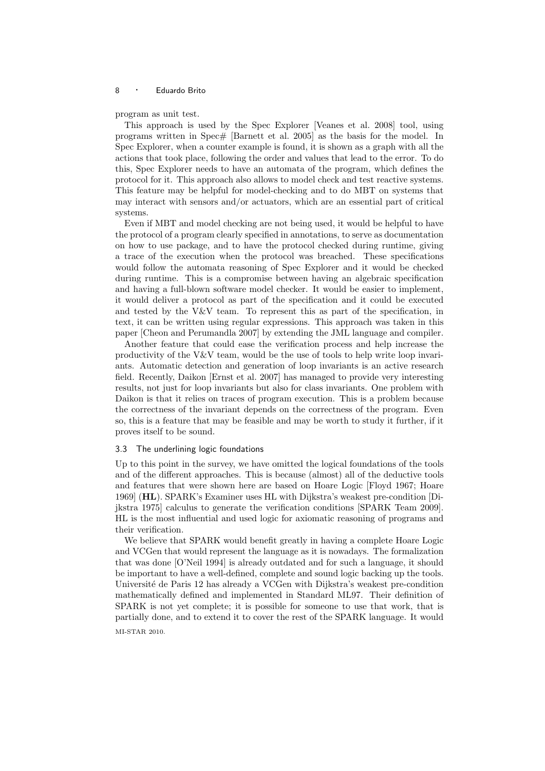program as unit test.

This approach is used by the Spec Explorer [Veanes et al. 2008] tool, using programs written in Spec# [Barnett et al. 2005] as the basis for the model. In Spec Explorer, when a counter example is found, it is shown as a graph with all the actions that took place, following the order and values that lead to the error. To do this, Spec Explorer needs to have an automata of the program, which defines the protocol for it. This approach also allows to model check and test reactive systems. This feature may be helpful for model-checking and to do MBT on systems that may interact with sensors and/or actuators, which are an essential part of critical systems.

Even if MBT and model checking are not being used, it would be helpful to have the protocol of a program clearly specified in annotations, to serve as documentation on how to use package, and to have the protocol checked during runtime, giving a trace of the execution when the protocol was breached. These specifications would follow the automata reasoning of Spec Explorer and it would be checked during runtime. This is a compromise between having an algebraic specification and having a full-blown software model checker. It would be easier to implement, it would deliver a protocol as part of the specification and it could be executed and tested by the  $V\&V$  team. To represent this as part of the specification, in text, it can be written using regular expressions. This approach was taken in this paper [Cheon and Perumandla 2007] by extending the JML language and compiler.

Another feature that could ease the verification process and help increase the productivity of the V&V team, would be the use of tools to help write loop invariants. Automatic detection and generation of loop invariants is an active research field. Recently, Daikon [Ernst et al. 2007] has managed to provide very interesting results, not just for loop invariants but also for class invariants. One problem with Daikon is that it relies on traces of program execution. This is a problem because the correctness of the invariant depends on the correctness of the program. Even so, this is a feature that may be feasible and may be worth to study it further, if it proves itself to be sound.

# 3.3 The underlining logic foundations

Up to this point in the survey, we have omitted the logical foundations of the tools and of the different approaches. This is because (almost) all of the deductive tools and features that were shown here are based on Hoare Logic [Floyd 1967; Hoare 1969] (HL). SPARK's Examiner uses HL with Dijkstra's weakest pre-condition [Dijkstra 1975] calculus to generate the verification conditions [SPARK Team 2009]. HL is the most influential and used logic for axiomatic reasoning of programs and their verification.

We believe that SPARK would benefit greatly in having a complete Hoare Logic and VCGen that would represent the language as it is nowadays. The formalization that was done [O'Neil 1994] is already outdated and for such a language, it should be important to have a well-defined, complete and sound logic backing up the tools. Université de Paris 12 has already a VCGen with Dijkstra's weakest pre-condition mathematically defined and implemented in Standard ML97. Their definition of SPARK is not yet complete; it is possible for someone to use that work, that is partially done, and to extend it to cover the rest of the SPARK language. It would MI-STAR 2010.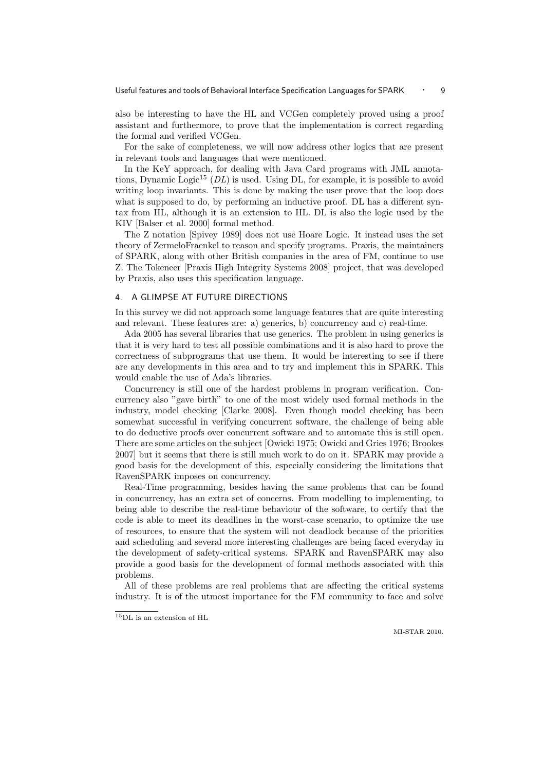also be interesting to have the HL and VCGen completely proved using a proof assistant and furthermore, to prove that the implementation is correct regarding the formal and verified VCGen.

For the sake of completeness, we will now address other logics that are present in relevant tools and languages that were mentioned.

In the KeY approach, for dealing with Java Card programs with JML annotations, Dynamic Logic<sup>15</sup> ( $DL$ ) is used. Using DL, for example, it is possible to avoid writing loop invariants. This is done by making the user prove that the loop does what is supposed to do, by performing an inductive proof. DL has a different syntax from HL, although it is an extension to HL. DL is also the logic used by the KIV [Balser et al. 2000] formal method.

The Z notation [Spivey 1989] does not use Hoare Logic. It instead uses the set theory of ZermeloFraenkel to reason and specify programs. Praxis, the maintainers of SPARK, along with other British companies in the area of FM, continue to use Z. The Tokeneer [Praxis High Integrity Systems 2008] project, that was developed by Praxis, also uses this specification language.

# 4. A GLIMPSE AT FUTURE DIRECTIONS

In this survey we did not approach some language features that are quite interesting and relevant. These features are: a) generics, b) concurrency and c) real-time.

Ada 2005 has several libraries that use generics. The problem in using generics is that it is very hard to test all possible combinations and it is also hard to prove the correctness of subprograms that use them. It would be interesting to see if there are any developments in this area and to try and implement this in SPARK. This would enable the use of Ada's libraries.

Concurrency is still one of the hardest problems in program verification. Concurrency also "gave birth" to one of the most widely used formal methods in the industry, model checking [Clarke 2008]. Even though model checking has been somewhat successful in verifying concurrent software, the challenge of being able to do deductive proofs over concurrent software and to automate this is still open. There are some articles on the subject [Owicki 1975; Owicki and Gries 1976; Brookes 2007] but it seems that there is still much work to do on it. SPARK may provide a good basis for the development of this, especially considering the limitations that RavenSPARK imposes on concurrency.

Real-Time programming, besides having the same problems that can be found in concurrency, has an extra set of concerns. From modelling to implementing, to being able to describe the real-time behaviour of the software, to certify that the code is able to meet its deadlines in the worst-case scenario, to optimize the use of resources, to ensure that the system will not deadlock because of the priorities and scheduling and several more interesting challenges are being faced everyday in the development of safety-critical systems. SPARK and RavenSPARK may also provide a good basis for the development of formal methods associated with this problems.

All of these problems are real problems that are affecting the critical systems industry. It is of the utmost importance for the FM community to face and solve

<sup>15</sup>DL is an extension of HL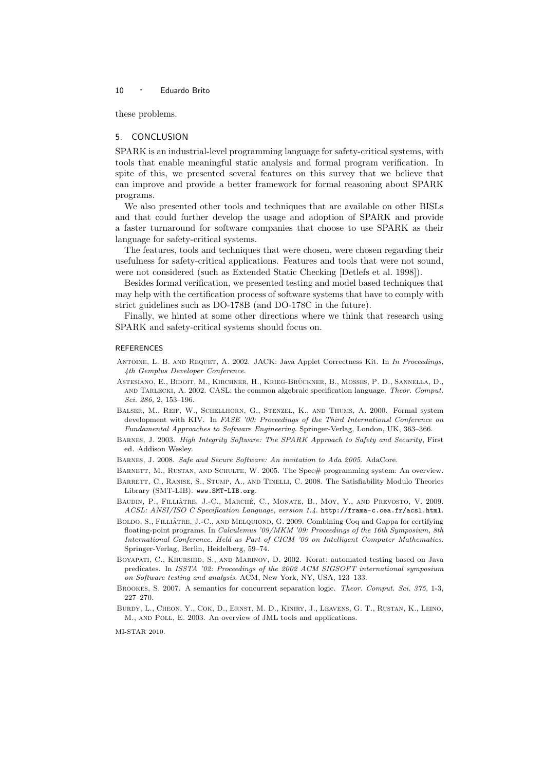these problems.

# 5. CONCLUSION

SPARK is an industrial-level programming language for safety-critical systems, with tools that enable meaningful static analysis and formal program verification. In spite of this, we presented several features on this survey that we believe that can improve and provide a better framework for formal reasoning about SPARK programs.

We also presented other tools and techniques that are available on other BISLs and that could further develop the usage and adoption of SPARK and provide a faster turnaround for software companies that choose to use SPARK as their language for safety-critical systems.

The features, tools and techniques that were chosen, were chosen regarding their usefulness for safety-critical applications. Features and tools that were not sound, were not considered (such as Extended Static Checking [Detlefs et al. 1998]).

Besides formal verification, we presented testing and model based techniques that may help with the certification process of software systems that have to comply with strict guidelines such as DO-178B (and DO-178C in the future).

Finally, we hinted at some other directions where we think that research using SPARK and safety-critical systems should focus on.

#### **REFERENCES**

- Antoine, L. B. and Requet, A. 2002. JACK: Java Applet Correctness Kit. In In Proceedings, 4th Gemplus Developer Conference.
- ASTESIANO, E., BIDOIT, M., KIRCHNER, H., KRIEG-BRÜCKNER, B., MOSSES, P. D., SANNELLA, D., and Tarlecki, A. 2002. CASL: the common algebraic specification language. Theor. Comput. Sci. 286, 2, 153–196.

Balser, M., Reif, W., Schellhorn, G., Stenzel, K., and Thums, A. 2000. Formal system development with KIV. In FASE '00: Proceedings of the Third Internationsl Conference on Fundamental Approaches to Software Engineering. Springer-Verlag, London, UK, 363–366.

- Barnes, J. 2003. High Integrity Software: The SPARK Approach to Safety and Security, First ed. Addison Wesley.
- Barnes, J. 2008. Safe and Secure Software: An invitation to Ada 2005. AdaCore.
- BARNETT, M., RUSTAN, AND SCHULTE, W. 2005. The Spec# programming system: An overview.
- BARRETT, C., RANISE, S., STUMP, A., AND TINELLI, C. 2008. The Satisfiability Modulo Theories Library (SMT-LIB). www.SMT-LIB.org.
- BAUDIN, P., FILLIÂTRE, J.-C., MARCHÉ, C., MONATE, B., MOY, Y., AND PREVOSTO, V. 2009. ACSL: ANSI/ISO C Specification Language, version 1.4. http://frama-c.cea.fr/acsl.html.
- BOLDO, S., FILLIÂTRE, J.-C., AND MELQUIOND, G. 2009. Combining Coq and Gappa for certifying floating-point programs. In Calculemus '09/MKM '09: Proceedings of the 16th Symposium, 8th International Conference. Held as Part of CICM '09 on Intelligent Computer Mathematics. Springer-Verlag, Berlin, Heidelberg, 59–74.
- Boyapati, C., Khurshid, S., and Marinov, D. 2002. Korat: automated testing based on Java predicates. In ISSTA '02: Proceedings of the 2002 ACM SIGSOFT international symposium on Software testing and analysis. ACM, New York, NY, USA, 123–133.
- Brookes, S. 2007. A semantics for concurrent separation logic. Theor. Comput. Sci. 375, 1-3, 227–270.
- Burdy, L., Cheon, Y., Cok, D., Ernst, M. D., Kiniry, J., Leavens, G. T., Rustan, K., Leino, M., and Poll, E. 2003. An overview of JML tools and applications.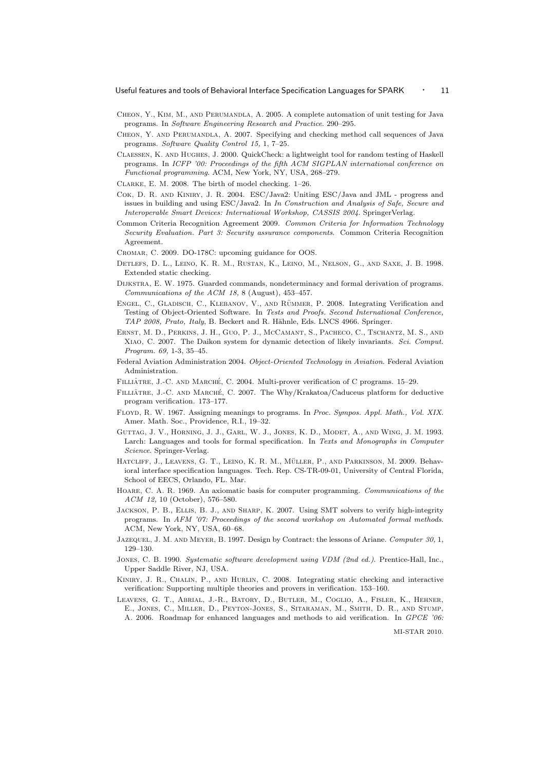- Cheon, Y., Kim, M., and Perumandla, A. 2005. A complete automation of unit testing for Java programs. In Software Engineering Research and Practice. 290–295.
- Cheon, Y. and Perumandla, A. 2007. Specifying and checking method call sequences of Java programs. Software Quality Control 15, 1, 7–25.
- Claessen, K. and Hughes, J. 2000. QuickCheck: a lightweight tool for random testing of Haskell programs. In ICFP '00: Proceedings of the fifth ACM SIGPLAN international conference on Functional programming. ACM, New York, NY, USA, 268–279.
- Clarke, E. M. 2008. The birth of model checking. 1–26.
- Cok, D. R. and Kiniry, J. R. 2004. ESC/Java2: Uniting ESC/Java and JML progress and issues in building and using ESC/Java2. In In Construction and Analysis of Safe, Secure and Interoperable Smart Devices: International Workshop, CASSIS 2004. SpringerVerlag.
- Common Criteria Recognition Agreement 2009. Common Criteria for Information Technology Security Evaluation. Part 3: Security assurance components. Common Criteria Recognition Agreement.
- Cromar, C. 2009. DO-178C: upcoming guidance for OOS.
- Detlefs, D. L., Leino, K. R. M., Rustan, K., Leino, M., Nelson, G., and Saxe, J. B. 1998. Extended static checking.
- Dijkstra, E. W. 1975. Guarded commands, nondeterminacy and formal derivation of programs. Communications of the ACM 18, 8 (August), 453–457.
- ENGEL, C., GLADISCH, C., KLEBANOV, V., AND RÜMMER, P. 2008. Integrating Verification and Testing of Object-Oriented Software. In Tests and Proofs. Second International Conference, TAP 2008, Prato, Italy, B. Beckert and R. Hähnle, Eds. LNCS 4966. Springer.
- Ernst, M. D., Perkins, J. H., Guo, P. J., McCamant, S., Pacheco, C., Tschantz, M. S., and Xiao, C. 2007. The Daikon system for dynamic detection of likely invariants. Sci. Comput. Program. 69, 1-3, 35–45.
- Federal Aviation Administration 2004. Object-Oriented Technology in Aviation. Federal Aviation Administration.
- FILLIÂTRE, J.-C. AND MARCHÉ, C. 2004. Multi-prover verification of C programs. 15–29.
- FILLIÂTRE, J.-C. AND MARCHÉ, C. 2007. The Why/Krakatoa/Caduceus platform for deductive program verification. 173–177.
- Floyd, R. W. 1967. Assigning meanings to programs. In Proc. Sympos. Appl. Math., Vol. XIX. Amer. Math. Soc., Providence, R.I., 19–32.
- Guttag, J. V., Horning, J. J., Garl, W. J., Jones, K. D., Modet, A., and Wing, J. M. 1993. Larch: Languages and tools for formal specification. In Texts and Monographs in Computer Science. Springer-Verlag.
- HATCLIFF, J., LEAVENS, G. T., LEINO, K. R. M., MÜLLER, P., AND PARKINSON, M. 2009. Behavioral interface specification languages. Tech. Rep. CS-TR-09-01, University of Central Florida, School of EECS, Orlando, FL. Mar.
- Hoare, C. A. R. 1969. An axiomatic basis for computer programming. Communications of the ACM 12, 10 (October), 576–580.
- Jackson, P. B., Ellis, B. J., and Sharp, K. 2007. Using SMT solvers to verify high-integrity programs. In AFM '07: Proceedings of the second workshop on Automated formal methods. ACM, New York, NY, USA, 60–68.
- JAZEQUEL, J. M. AND MEYER, B. 1997. Design by Contract: the lessons of Ariane. Computer 30, 1, 129–130.
- Jones, C. B. 1990. Systematic software development using VDM (2nd ed.). Prentice-Hall, Inc., Upper Saddle River, NJ, USA.
- KINIRY, J. R., CHALIN, P., AND HURLIN, C. 2008. Integrating static checking and interactive verification: Supporting multiple theories and provers in verification. 153–160.
- Leavens, G. T., Abrial, J.-R., Batory, D., Butler, M., Coglio, A., Fisler, K., Hehner, E., Jones, C., Miller, D., Peyton-Jones, S., Sitaraman, M., Smith, D. R., and Stump, A. 2006. Roadmap for enhanced languages and methods to aid verification. In GPCE '06: